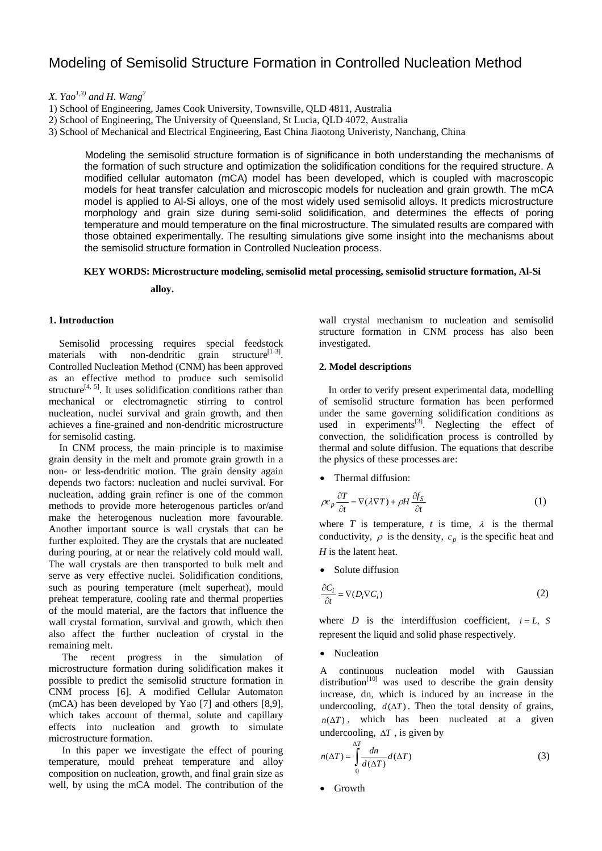# Modeling of Semisolid Structure Formation in Controlled Nucleation Method

*X. Yao<sup>1,3)</sup>* and *H. Wang*<sup>2</sup>

2) School of Engineering, The University of Queensland, St Lucia, QLD 4072, Australia

3) School of Mechanical and Electrical Engineering, East China Jiaotong Univeristy, Nanchang, China

Modeling the semisolid structure formation is of significance in both understanding the mechanisms of the formation of such structure and optimization the solidification conditions for the required structure. A modified cellular automaton (mCA) model has been developed, which is coupled with macroscopic models for heat transfer calculation and microscopic models for nucleation and grain growth. The mCA model is applied to Al-Si alloys, one of the most widely used semisolid alloys. It predicts microstructure morphology and grain size during semi-solid solidification, and determines the effects of poring temperature and mould temperature on the final microstructure. The simulated results are compared with those obtained experimentally. The resulting simulations give some insight into the mechanisms about the semisolid structure formation in Controlled Nucleation process.

## **KEY WORDS: Microstructure modeling, semisolid metal processing, semisolid structure formation, Al-Si**

**alloy.** 

## **1. Introduction**

Semisolid processing requires special feedstock materials with non-dendritic grain structure<sup>[1-3]</sup>. Controlled Nucleation Method (CNM) has been approved as an effective method to produce such semisolid structure<sup>[4, 5]</sup>. It uses solidification conditions rather than mechanical or electromagnetic stirring to control nucleation, nuclei survival and grain growth, and then achieves a fine-grained and non-dendritic microstructure for semisolid casting.

In CNM process, the main principle is to maximise grain density in the melt and promote grain growth in a non- or less-dendritic motion. The grain density again depends two factors: nucleation and nuclei survival. For nucleation, adding grain refiner is one of the common methods to provide more heterogenous particles or/and make the heterogenous nucleation more favourable. Another important source is wall crystals that can be further exploited. They are the crystals that are nucleated during pouring, at or near the relatively cold mould wall. The wall crystals are then transported to bulk melt and serve as very effective nuclei. Solidification conditions, such as pouring temperature (melt superheat), mould preheat temperature, cooling rate and thermal properties of the mould material, are the factors that influence the wall crystal formation, survival and growth, which then also affect the further nucleation of crystal in the remaining melt.

The recent progress in the simulation of microstructure formation during solidification makes it possible to predict the semisolid structure formation in CNM process [6]. A modified Cellular Automaton (mCA) has been developed by Yao [7] and others [8,9], which takes account of thermal, solute and capillary effects into nucleation and growth to simulate microstructure formation.

In this paper we investigate the effect of pouring temperature, mould preheat temperature and alloy composition on nucleation, growth, and final grain size as well, by using the mCA model. The contribution of the

wall crystal mechanism to nucleation and semisolid structure formation in CNM process has also been investigated.

#### **2. Model descriptions**

In order to verify present experimental data, modelling of semisolid structure formation has been performed under the same governing solidification conditions as used in experiments $^{[3]}$ . Neglecting the effect of convection, the solidification process is controlled by thermal and solute diffusion. The equations that describe the physics of these processes are:

• Thermal diffusion:

$$
\rho c_p \frac{\partial T}{\partial t} = \nabla(\lambda \nabla T) + \rho H \frac{\partial f_S}{\partial t}
$$
\n(1)

where *T* is temperature, *t* is time,  $\lambda$  is the thermal conductivity,  $\rho$  is the density,  $c_p$  is the specific heat and *H* is the latent heat.

• Solute diffusion

$$
\frac{\partial C_i}{\partial t} = \nabla(D_i \nabla C_i)
$$
\n(2)

where *D* is the interdiffusion coefficient,  $i = L$ , *S* represent the liquid and solid phase respectively.

• Nucleation

A continuous nucleation model with Gaussian distribution<sup>[10]</sup> was used to describe the grain density increase, dn, which is induced by an increase in the undercooling,  $d(\Delta T)$ . Then the total density of grains,  $n(\Delta T)$ , which has been nucleated at a given undercooling,  $\Delta T$ , is given by

$$
n(\Delta T) = \int_{0}^{\Delta T} \frac{dn}{d(\Delta T)} d(\Delta T)
$$
 (3)

• Growth

<sup>1)</sup> School of Engineering, James Cook University, Townsville, QLD 4811, Australia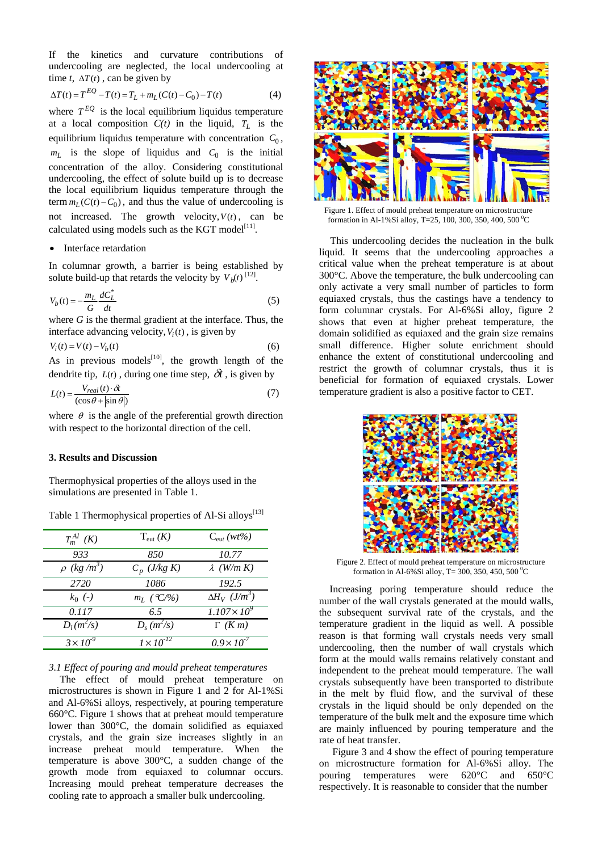If the kinetics and curvature contributions of undercooling are neglected, the local undercooling at time *t*,  $\Delta T(t)$ , can be given by

$$
\Delta T(t) = T^{EQ} - T(t) = T_L + m_L(C(t) - C_0) - T(t)
$$
\n(4)

where  $T^{EQ}$  is the local equilibrium liquidus temperature at a local composition  $C(t)$  in the liquid,  $T_L$  is the equilibrium liquidus temperature with concentration  $C_0$ ,  $m<sub>L</sub>$  is the slope of liquidus and  $C<sub>0</sub>$  is the initial concentration of the alloy. Considering constitutional undercooling, the effect of solute build up is to decrease the local equilibrium liquidus temperature through the term  $m_L(C(t) - C_0)$ , and thus the value of undercooling is not increased. The growth velocity,  $V(t)$ , can be calculated using models such as the KGT model $^{[11]}$ .

#### • Interface retardation

In columnar growth, a barrier is being established by solute build-up that retards the velocity by  $V_b(t)$ <sup>[12]</sup>.

$$
V_b(t) = -\frac{m_L}{G} \frac{dC_L^*}{dt}
$$
\n<sup>(5)</sup>

where *G* is the thermal gradient at the interface. Thus, the interface advancing velocity,  $V_i(t)$ , is given by

$$
V_i(t) = V(t) - V_b(t) \tag{6}
$$

As in previous models $^{[10]}$ , the growth length of the dendrite tip,  $L(t)$ , during one time step,  $\delta t$ , is given by

$$
L(t) = \frac{V_{real}(t) \cdot \delta t}{(\cos \theta + |\sin \theta|)}\tag{7}
$$

where  $\theta$  is the angle of the preferential growth direction with respect to the horizontal direction of the cell.

## **3. Results and Discussion**

Thermophysical properties of the alloys used in the simulations are presented in Table 1.

| $T_m^{Al}$ (K)              | $T_{\rm{cut}}(K)$       | $C_{\text{cut}}(wt\% )$          |
|-----------------------------|-------------------------|----------------------------------|
| 933                         | 850                     | 10.77                            |
| $\rho$ (kg/m <sup>3</sup> ) | $C_p$ ( <i>J/kg K</i> ) | $\lambda$ (W/m K)                |
| 2720                        | 1086                    | 192.5                            |
| $k_0$ (-)                   | $m_L$ (°C/%)            | $\Delta H_V$ (J/m <sup>3</sup> ) |
| 0.117                       | 6.5                     | $1.107 \times 10^{9}$            |
| $D_l(m^2/s)$                | $D_s(m^2/s)$            | $\Gamma$ (K m)                   |
| $3 \times 10^{-9}$          | $1\times10^{-12}$       | $0.9 \times 10^{-7}$             |

Table 1 Thermophysical properties of Al-Si alloys<sup>[13]</sup>

#### *3.1 Effect of pouring and mould preheat temperatures*

The effect of mould preheat temperature on microstructures is shown in Figure 1 and 2 for Al-1%Si and Al-6%Si alloys, respectively, at pouring temperature 660°C. Figure 1 shows that at preheat mould temperature lower than 300°C, the domain solidified as equiaxed crystals, and the grain size increases slightly in an increase preheat mould temperature. When the temperature is above 300°C, a sudden change of the growth mode from equiaxed to columnar occurs. Increasing mould preheat temperature decreases the cooling rate to approach a smaller bulk undercooling.



Figure 1. Effect of mould preheat temperature on microstructure formation in Al-1%Si alloy, T=25, 100, 300, 350, 400, 500 °C

This undercooling decides the nucleation in the bulk liquid. It seems that the undercooling approaches a critical value when the preheat temperature is at about 300°C. Above the temperature, the bulk undercooling can only activate a very small number of particles to form equiaxed crystals, thus the castings have a tendency to form columnar crystals. For Al-6%Si alloy, figure 2 shows that even at higher preheat temperature, the domain solidified as equiaxed and the grain size remains small difference. Higher solute enrichment should enhance the extent of constitutional undercooling and restrict the growth of columnar crystals, thus it is beneficial for formation of equiaxed crystals. Lower temperature gradient is also a positive factor to CET.



Figure 2. Effect of mould preheat temperature on microstructure formation in Al-6%Si alloy, T= 300, 350, 450, 500 °C

Increasing poring temperature should reduce the number of the wall crystals generated at the mould walls, the subsequent survival rate of the crystals, and the temperature gradient in the liquid as well. A possible reason is that forming wall crystals needs very small undercooling, then the number of wall crystals which form at the mould walls remains relatively constant and independent to the preheat mould temperature. The wall crystals subsequently have been transported to distribute in the melt by fluid flow, and the survival of these crystals in the liquid should be only depended on the temperature of the bulk melt and the exposure time which are mainly influenced by pouring temperature and the rate of heat transfer.

Figure 3 and 4 show the effect of pouring temperature on microstructure formation for Al-6%Si alloy. The pouring temperatures were 620°C and 650°C respectively. It is reasonable to consider that the number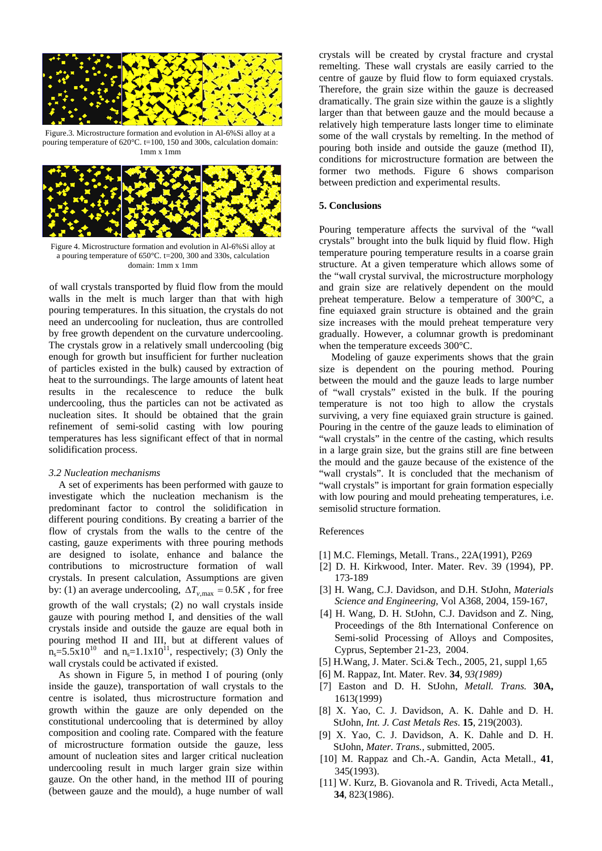

Figure.3. Microstructure formation and evolution in Al-6%Si alloy at a pouring temperature of  $620^{\circ}$ C. t=100, 150 and 300s, calculation domain: 1mm x 1mm



Figure 4. Microstructure formation and evolution in Al-6%Si alloy at a pouring temperature of 650°C. t=200, 300 and 330s, calculation domain: 1mm x 1mm

of wall crystals transported by fluid flow from the mould walls in the melt is much larger than that with high pouring temperatures. In this situation, the crystals do not need an undercooling for nucleation, thus are controlled by free growth dependent on the curvature undercooling. The crystals grow in a relatively small undercooling (big enough for growth but insufficient for further nucleation of particles existed in the bulk) caused by extraction of heat to the surroundings. The large amounts of latent heat results in the recalescence to reduce the bulk undercooling, thus the particles can not be activated as nucleation sites. It should be obtained that the grain refinement of semi-solid casting with low pouring temperatures has less significant effect of that in normal solidification process.

#### *3.2 Nucleation mechanisms*

A set of experiments has been performed with gauze to investigate which the nucleation mechanism is the predominant factor to control the solidification in different pouring conditions. By creating a barrier of the flow of crystals from the walls to the centre of the casting, gauze experiments with three pouring methods are designed to isolate, enhance and balance the contributions to microstructure formation of wall crystals. In present calculation, Assumptions are given by: (1) an average undercooling,  $\Delta T_{v,\text{max}} = 0.5K$ , for free growth of the wall crystals; (2) no wall crystals inside gauze with pouring method I, and densities of the wall crystals inside and outside the gauze are equal both in pouring method II and III, but at different values of  $n_s = 5.5 \times 10^{10}$  and  $n_s = 1.1 \times 10^{11}$ , respectively; (3) Only the wall crystals could be activated if existed.

As shown in Figure 5, in method I of pouring (only inside the gauze), transportation of wall crystals to the centre is isolated, thus microstructure formation and growth within the gauze are only depended on the constitutional undercooling that is determined by alloy composition and cooling rate. Compared with the feature of microstructure formation outside the gauze, less amount of nucleation sites and larger critical nucleation undercooling result in much larger grain size within gauze. On the other hand, in the method III of pouring (between gauze and the mould), a huge number of wall crystals will be created by crystal fracture and crystal remelting. These wall crystals are easily carried to the centre of gauze by fluid flow to form equiaxed crystals. Therefore, the grain size within the gauze is decreased dramatically. The grain size within the gauze is a slightly larger than that between gauze and the mould because a relatively high temperature lasts longer time to eliminate some of the wall crystals by remelting. In the method of pouring both inside and outside the gauze (method II), conditions for microstructure formation are between the former two methods. Figure 6 shows comparison between prediction and experimental results.

#### **5. Conclusions**

Pouring temperature affects the survival of the "wall crystals" brought into the bulk liquid by fluid flow. High temperature pouring temperature results in a coarse grain structure. At a given temperature which allows some of the "wall crystal survival, the microstructure morphology and grain size are relatively dependent on the mould preheat temperature. Below a temperature of 300°C, a fine equiaxed grain structure is obtained and the grain size increases with the mould preheat temperature very gradually. However, a columnar growth is predominant when the temperature exceeds 300°C.

Modeling of gauze experiments shows that the grain size is dependent on the pouring method. Pouring between the mould and the gauze leads to large number of "wall crystals" existed in the bulk. If the pouring temperature is not too high to allow the crystals surviving, a very fine equiaxed grain structure is gained. Pouring in the centre of the gauze leads to elimination of "wall crystals" in the centre of the casting, which results in a large grain size, but the grains still are fine between the mould and the gauze because of the existence of the "wall crystals". It is concluded that the mechanism of "wall crystals" is important for grain formation especially with low pouring and mould preheating temperatures, i.e. semisolid structure formation.

#### References

- [1] M.C. Flemings, Metall. Trans., 22A(1991), P269
- [2] D. H. Kirkwood, Inter. Mater. Rev. 39 (1994), PP. 173-189
- [3] H. Wang, C.J. Davidson, and D.H. StJohn, *Materials Science and Engineering*, Vol A368, 2004, 159-167,
- [4] H. Wang, D. H. StJohn, C.J. Davidson and Z. Ning, Proceedings of the 8th International Conference on Semi-solid Processing of Alloys and Composites, Cyprus, September 21-23, 2004.
- [5] H.Wang, J. Mater. Sci.& Tech., 2005, 21, suppl 1,65
- [6] M. Rappaz*,* Int. Mater. Rev*.* **34***, 93(1989)*
- [7] Easton and D. H. StJohn, *Metall. Trans.* **30A,** 1613(1999)
- [8] X. Yao, C. J. Davidson, A. K. Dahle and D. H. StJohn, *Int. J. Cast Metals Res*. **15**, 219(2003).
- [9] X. Yao, C. J. Davidson, A. K. Dahle and D. H. StJohn, *Mater. Trans.,* submitted, 2005.
- [10] M. Rappaz and Ch.-A. Gandin, Acta Metall., **41**, 345(1993).
- [11] W. Kurz, B. Giovanola and R. Trivedi, Acta Metall., **34**, 823(1986).